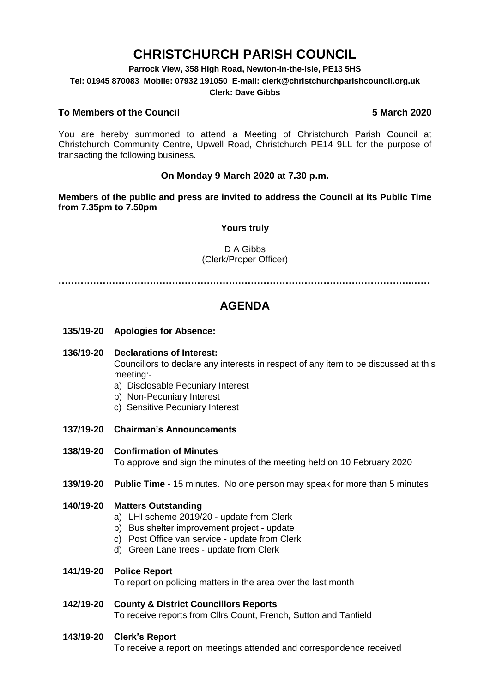# **CHRISTCHURCH PARISH COUNCIL**

**Parrock View, 358 High Road, Newton-in-the-Isle, PE13 5HS**

**Tel: 01945 870083 Mobile: 07932 191050 E-mail: clerk@christchurchparishcouncil.org.uk**

#### **Clerk: Dave Gibbs**

#### **To Members of the Council 5 March 2020**

You are hereby summoned to attend a Meeting of Christchurch Parish Council at Christchurch Community Centre, Upwell Road, Christchurch PE14 9LL for the purpose of transacting the following business.

#### **On Monday 9 March 2020 at 7.30 p.m.**

**Members of the public and press are invited to address the Council at its Public Time from 7.35pm to 7.50pm**

#### **Yours truly**

#### D A Gibbs (Clerk/Proper Officer)

**………………………………………………………………………………………………….……**

## **AGENDA**

- **135/19-20 Apologies for Absence:**
- **136/19-20 Declarations of Interest:**

Councillors to declare any interests in respect of any item to be discussed at this meeting:-

- a) Disclosable Pecuniary Interest
- b) Non-Pecuniary Interest
- c) Sensitive Pecuniary Interest
- **137/19-20 Chairman's Announcements**

#### **138/19-20 Confirmation of Minutes**

To approve and sign the minutes of the meeting held on 10 February 2020

**139/19-20 Public Time** - 15 minutes. No one person may speak for more than 5 minutes

#### **140/19-20 Matters Outstanding**

- a) LHI scheme 2019/20 update from Clerk
- b) Bus shelter improvement project update
- c) Post Office van service update from Clerk
- d) Green Lane trees update from Clerk

#### **141/19-20 Police Report**

To report on policing matters in the area over the last month

#### **142/19-20 County & District Councillors Reports**

To receive reports from Cllrs Count, French, Sutton and Tanfield

#### **143/19-20 Clerk's Report**

To receive a report on meetings attended and correspondence received